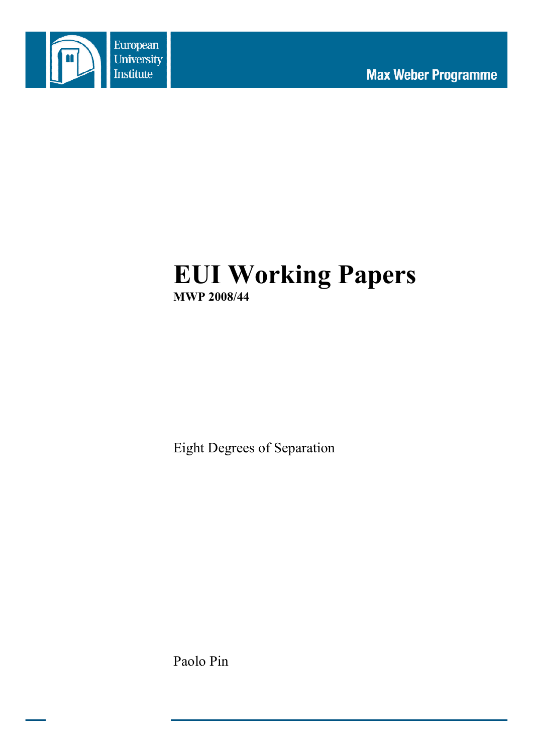

# **EUI Working Papers MWP 2008/44**

Eight Degrees of Separation

Paolo Pin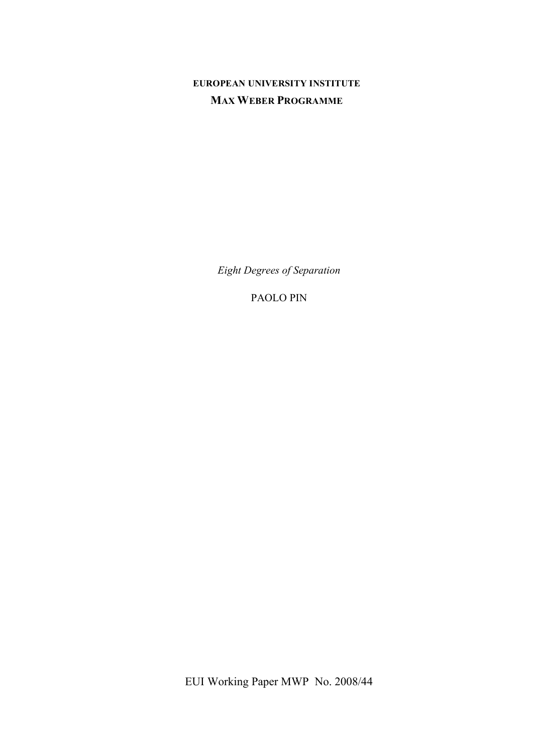## **EUROPEAN UNIVERSITY INSTITUTE MAX WEBER PROGRAMME**

*Eight Degrees of Separation*

PAOLO PIN

EUI Working Paper MWP No. 2008/44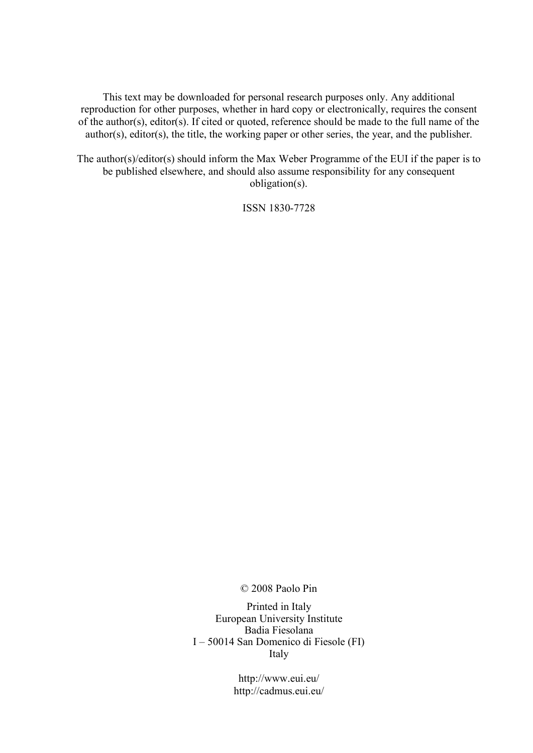This text may be downloaded for personal research purposes only. Any additional reproduction for other purposes, whether in hard copy or electronically, requires the consent of the author(s), editor(s). If cited or quoted, reference should be made to the full name of the author(s), editor(s), the title, the working paper or other series, the year, and the publisher.

The author(s)/editor(s) should inform the Max Weber Programme of the EUI if the paper is to be published elsewhere, and should also assume responsibility for any consequent obligation(s).

ISSN 1830-7728

© 2008 Paolo Pin

Printed in Italy European University Institute Badia Fiesolana I – 50014 San Domenico di Fiesole (FI) Italy

> http://www.eui.eu/ http://cadmus.eui.eu/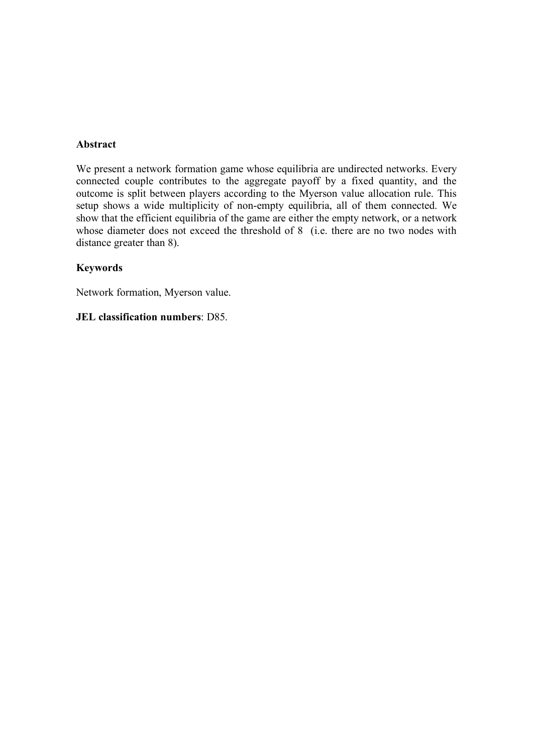## **Abstract**

We present a network formation game whose equilibria are undirected networks. Every connected couple contributes to the aggregate payoff by a fixed quantity, and the outcome is split between players according to the Myerson value allocation rule. This setup shows a wide multiplicity of non-empty equilibria, all of them connected. We show that the efficient equilibria of the game are either the empty network, or a network whose diameter does not exceed the threshold of 8 (i.e. there are no two nodes with distance greater than 8).

## **Keywords**

Network formation, Myerson value.

### **JEL classification numbers**: D85.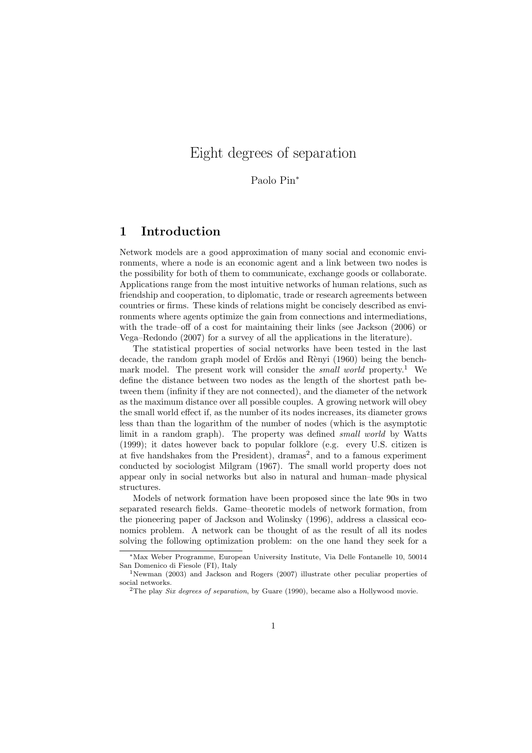## Eight degrees of separation

Paolo Pin<sup>∗</sup>

## 1 Introduction

Network models are a good approximation of many social and economic environments, where a node is an economic agent and a link between two nodes is the possibility for both of them to communicate, exchange goods or collaborate. Applications range from the most intuitive networks of human relations, such as friendship and cooperation, to diplomatic, trade or research agreements between countries or firms. These kinds of relations might be concisely described as environments where agents optimize the gain from connections and intermediations, with the trade–off of a cost for maintaining their links (see Jackson  $(2006)$ ) or Vega–Redondo (2007) for a survey of all the applications in the literature).

The statistical properties of social networks have been tested in the last decade, the random graph model of Erdös and Rènyi (1960) being the benchmark model. The present work will consider the small world property.<sup>1</sup> We define the distance between two nodes as the length of the shortest path between them (infinity if they are not connected), and the diameter of the network as the maximum distance over all possible couples. A growing network will obey the small world effect if, as the number of its nodes increases, its diameter grows less than than the logarithm of the number of nodes (which is the asymptotic limit in a random graph). The property was defined small world by Watts (1999); it dates however back to popular folklore (e.g. every U.S. citizen is at five handshakes from the President), dramas<sup>2</sup>, and to a famous experiment conducted by sociologist Milgram (1967). The small world property does not appear only in social networks but also in natural and human–made physical structures.

Models of network formation have been proposed since the late 90s in two separated research fields. Game–theoretic models of network formation, from the pioneering paper of Jackson and Wolinsky (1996), address a classical economics problem. A network can be thought of as the result of all its nodes solving the following optimization problem: on the one hand they seek for a

<sup>∗</sup>Max Weber Programme, European University Institute, Via Delle Fontanelle 10, 50014 San Domenico di Fiesole (FI), Italy

<sup>1</sup>Newman (2003) and Jackson and Rogers (2007) illustrate other peculiar properties of social networks.

<sup>&</sup>lt;sup>2</sup>The play Six degrees of separation, by Guare (1990), became also a Hollywood movie.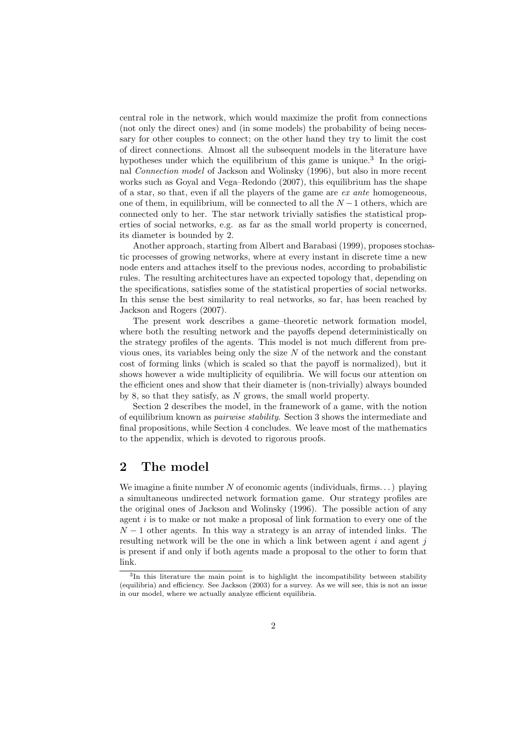central role in the network, which would maximize the profit from connections (not only the direct ones) and (in some models) the probability of being necessary for other couples to connect; on the other hand they try to limit the cost of direct connections. Almost all the subsequent models in the literature have hypotheses under which the equilibrium of this game is unique.<sup>3</sup> In the original Connection model of Jackson and Wolinsky (1996), but also in more recent works such as Goyal and Vega–Redondo (2007), this equilibrium has the shape of a star, so that, even if all the players of the game are  $ex$  ante homogeneous, one of them, in equilibrium, will be connected to all the  $N-1$  others, which are connected only to her. The star network trivially satisfies the statistical properties of social networks, e.g. as far as the small world property is concerned, its diameter is bounded by 2.

Another approach, starting from Albert and Barabasi (1999), proposes stochastic processes of growing networks, where at every instant in discrete time a new node enters and attaches itself to the previous nodes, according to probabilistic rules. The resulting architectures have an expected topology that, depending on the specifications, satisfies some of the statistical properties of social networks. In this sense the best similarity to real networks, so far, has been reached by Jackson and Rogers (2007).

The present work describes a game–theoretic network formation model, where both the resulting network and the payoffs depend deterministically on the strategy profiles of the agents. This model is not much different from previous ones, its variables being only the size  $N$  of the network and the constant cost of forming links (which is scaled so that the payoff is normalized), but it shows however a wide multiplicity of equilibria. We will focus our attention on the efficient ones and show that their diameter is (non-trivially) always bounded by 8, so that they satisfy, as N grows, the small world property.

Section 2 describes the model, in the framework of a game, with the notion of equilibrium known as pairwise stability. Section 3 shows the intermediate and final propositions, while Section 4 concludes. We leave most of the mathematics to the appendix, which is devoted to rigorous proofs.

## 2 The model

We imagine a finite number N of economic agents (individuals, firms...) playing a simultaneous undirected network formation game. Our strategy profiles are the original ones of Jackson and Wolinsky (1996). The possible action of any agent  $i$  is to make or not make a proposal of link formation to every one of the  $N-1$  other agents. In this way a strategy is an array of intended links. The resulting network will be the one in which a link between agent  $i$  and agent  $j$ is present if and only if both agents made a proposal to the other to form that link.

<sup>&</sup>lt;sup>3</sup>In this literature the main point is to highlight the incompatibility between stability (equilibria) and efficiency. See Jackson (2003) for a survey. As we will see, this is not an issue in our model, where we actually analyze efficient equilibria.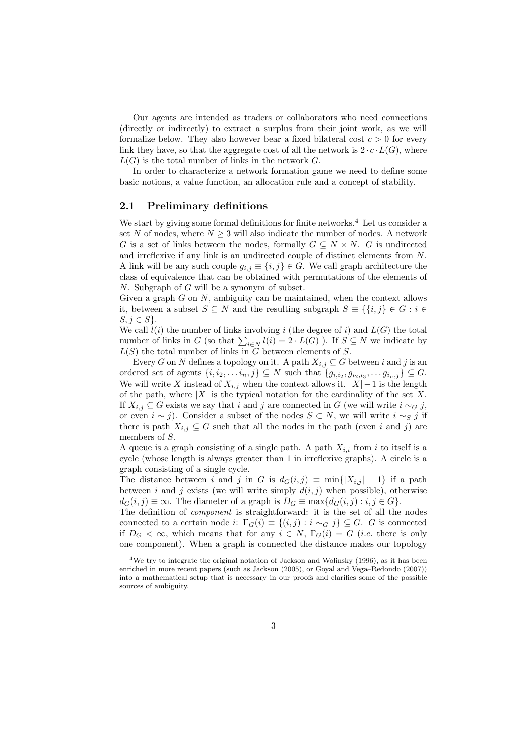Our agents are intended as traders or collaborators who need connections (directly or indirectly) to extract a surplus from their joint work, as we will formalize below. They also however bear a fixed bilateral cost  $c > 0$  for every link they have, so that the aggregate cost of all the network is  $2 \cdot c \cdot L(G)$ , where  $L(G)$  is the total number of links in the network G.

In order to characterize a network formation game we need to define some basic notions, a value function, an allocation rule and a concept of stability.

#### 2.1 Preliminary definitions

We start by giving some formal definitions for finite networks.<sup>4</sup> Let us consider a set N of nodes, where  $N \geq 3$  will also indicate the number of nodes. A network G is a set of links between the nodes, formally  $G \subseteq N \times N$ . G is undirected and irreflexive if any link is an undirected couple of distinct elements from N. A link will be any such couple  $g_{i,j} \equiv \{i,j\} \in G$ . We call graph architecture the class of equivalence that can be obtained with permutations of the elements of N. Subgraph of G will be a synonym of subset.

Given a graph  $G$  on  $N$ , ambiguity can be maintained, when the context allows it, between a subset  $S \subseteq N$  and the resulting subgraph  $S \equiv \{ \{i, j\} \in G : i \in$  $S, j \in S$ .

We call  $l(i)$  the number of links involving i (the degree of i) and  $L(G)$  the total we can  $\iota(i)$  the number of links involving  $i$  (the degree of  $i$ ) and  $L(G)$  the total number of links in  $G$  (so that  $\sum_{i\in N} l(i) = 2 \cdot L(G)$ ). If  $S \subseteq N$  we indicate by  $L(S)$  the total number of links in  $\widetilde{G}$  between elements of  $S$ .

Every G on N defines a topology on it. A path  $X_{i,j} \subseteq G$  between i and j is an ordered set of agents  $\{i, i_2, \ldots, i_n, j\} \subseteq N$  such that  $\{g_{i,i_2}, g_{i_2,i_3}, \ldots, g_{i_n,j}\} \subseteq G$ . We will write X instead of  $X_{i,j}$  when the context allows it.  $|X|-1$  is the length of the path, where  $|X|$  is the typical notation for the cardinality of the set X. If  $X_{i,j} \subseteq G$  exists we say that i and j are connected in G (we will write  $i \sim_G j$ , or even  $i \sim j$ ). Consider a subset of the nodes  $S \subset N$ , we will write  $i \sim_S j$  if there is path  $X_{i,j} \subseteq G$  such that all the nodes in the path (even i and j) are members of S.

A queue is a graph consisting of a single path. A path  $X_{i,i}$  from i to itself is a cycle (whose length is always greater than 1 in irreflexive graphs). A circle is a graph consisting of a single cycle.

The distance between i and j in G is  $d_G(i, j) \equiv \min\{|X_{i,j}|-1\}$  if a path between i and j exists (we will write simply  $d(i, j)$  when possible), otherwise  $d_G(i, j) \equiv \infty$ . The diameter of a graph is  $D_G \equiv \max\{d_G(i, j) : i, j \in G\}.$ 

The definition of component is straightforward: it is the set of all the nodes connected to a certain node i:  $\Gamma_G(i) \equiv \{(i,j) : i \sim_G j\} \subseteq G$ . G is connected if  $D_G < \infty$ , which means that for any  $i \in N$ ,  $\Gamma_G(i) = G$  (*i.e.* there is only one component). When a graph is connected the distance makes our topology

<sup>&</sup>lt;sup>4</sup>We try to integrate the original notation of Jackson and Wolinsky (1996), as it has been enriched in more recent papers (such as Jackson (2005), or Goyal and Vega–Redondo (2007)) into a mathematical setup that is necessary in our proofs and clarifies some of the possible sources of ambiguity.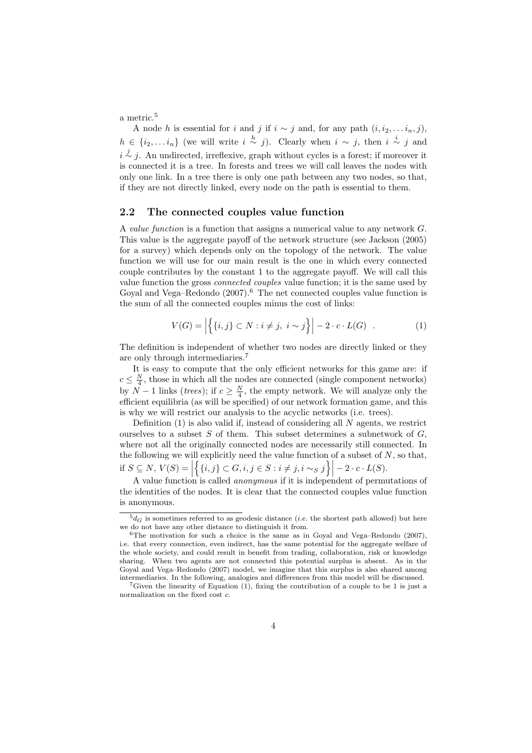a metric.<sup>5</sup>

A node h is essential for i and j if  $i \sim j$  and, for any path  $(i, i_2, \ldots i_n, j)$ ,  $h \in \{i_2, \ldots i_n\}$  (we will write  $i \stackrel{h}{\sim} j$ ). Clearly when  $i \sim j$ , then  $i \stackrel{i}{\sim} j$  and  $i \stackrel{j}{\sim} j$ . An undirected, irreflexive, graph without cycles is a forest; if moreover it is connected it is a tree. In forests and trees we will call leaves the nodes with only one link. In a tree there is only one path between any two nodes, so that, if they are not directly linked, every node on the path is essential to them.

#### 2.2 The connected couples value function

A value function is a function that assigns a numerical value to any network G. This value is the aggregate payoff of the network structure (see Jackson (2005) for a survey) which depends only on the topology of the network. The value function we will use for our main result is the one in which every connected couple contributes by the constant 1 to the aggregate payoff. We will call this value function the gross connected couples value function; it is the same used by Goyal and Vega–Redondo  $(2007)$ .<sup>6</sup> The net connected couples value function is the sum of all the connected couples minus the cost of links:

$$
V(G) = \left| \{ \{i, j\} \subset N : i \neq j, \ i \sim j \} \right| - 2 \cdot c \cdot L(G) \quad . \tag{1}
$$

The definition is independent of whether two nodes are directly linked or they are only through intermediaries.<sup>7</sup>

It is easy to compute that the only efficient networks for this game are: if  $c \leq \frac{N}{4}$ , those in which all the nodes are connected (single component networks) by  $N-1$  links (*trees*); if  $c \geq \frac{N}{4}$ , the empty network. We will analyze only the efficient equilibria (as will be specified) of our network formation game, and this is why we will restrict our analysis to the acyclic networks (i.e. trees).

Definition  $(1)$  is also valid if, instead of considering all N agents, we restrict ourselves to a subset  $S$  of them. This subset determines a subnetwork of  $G$ , where not all the originally connected nodes are necessarily still connected. In the following we will explicitly need the value function of a subset of  $N$ , so that, if  $S \subseteq N$ ,  $V(S) =$  $\begin{bmatrix} 1 \\ 1 \end{bmatrix}$ ll<br>Z  $\{i, j\} \subset G, i, j \in S : i \neq j, i \sim_S j$  $\Big\}\Big\vert - 2 \cdot c \cdot L(S).$ 

A value function is called anonymous if it is independent of permutations of the identities of the nodes. It is clear that the connected couples value function is anonymous.

 ${}^5d_G$  is sometimes referred to as geodesic distance (*i.e.* the shortest path allowed) but here we do not have any other distance to distinguish it from.

 $6$ The motivation for such a choice is the same as in Goyal and Vega–Redondo (2007), i.e. that every connection, even indirect, has the same potential for the aggregate welfare of the whole society, and could result in benefit from trading, collaboration, risk or knowledge sharing. When two agents are not connected this potential surplus is absent. As in the Goyal and Vega–Redondo (2007) model, we imagine that this surplus is also shared among intermediaries. In the following, analogies and differences from this model will be discussed.

<sup>&</sup>lt;sup>7</sup>Given the linearity of Equation  $(1)$ , fixing the contribution of a couple to be 1 is just a normalization on the fixed cost c.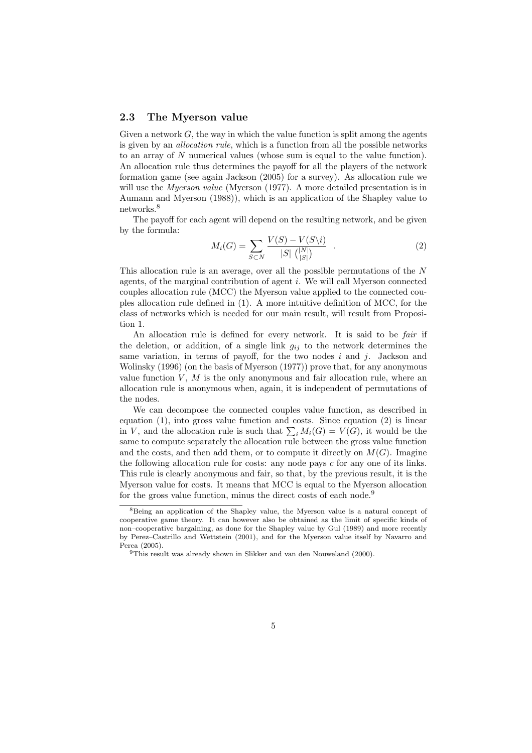#### 2.3 The Myerson value

Given a network  $G$ , the way in which the value function is split among the agents is given by an allocation rule, which is a function from all the possible networks to an array of N numerical values (whose sum is equal to the value function). An allocation rule thus determines the payoff for all the players of the network formation game (see again Jackson (2005) for a survey). As allocation rule we will use the *Myerson value* (Myerson (1977). A more detailed presentation is in Aumann and Myerson (1988)), which is an application of the Shapley value to networks.<sup>8</sup>

The payoff for each agent will depend on the resulting network, and be given by the formula:

$$
M_i(G) = \sum_{S \subset N} \frac{V(S) - V(S \setminus i)}{|S| \binom{|N|}{|S|}} \quad . \tag{2}
$$

This allocation rule is an average, over all the possible permutations of the N agents, of the marginal contribution of agent i. We will call Myerson connected couples allocation rule (MCC) the Myerson value applied to the connected couples allocation rule defined in (1). A more intuitive definition of MCC, for the class of networks which is needed for our main result, will result from Proposition 1.

An allocation rule is defined for every network. It is said to be *fair* if the deletion, or addition, of a single link  $g_{ij}$  to the network determines the same variation, in terms of payoff, for the two nodes  $i$  and  $j$ . Jackson and Wolinsky (1996) (on the basis of Myerson (1977)) prove that, for any anonymous value function  $V, M$  is the only anonymous and fair allocation rule, where an allocation rule is anonymous when, again, it is independent of permutations of the nodes.

We can decompose the connected couples value function, as described in equation (1), into gross value function and costs. Since equation (2) is linear equation (1), into gross value function and costs. Since equation (2) is finear<br>in V, and the allocation rule is such that  $\sum_i M_i(G) = V(G)$ , it would be the same to compute separately the allocation rule between the gross value function and the costs, and then add them, or to compute it directly on  $M(G)$ . Imagine the following allocation rule for costs: any node pays c for any one of its links. This rule is clearly anonymous and fair, so that, by the previous result, it is the Myerson value for costs. It means that MCC is equal to the Myerson allocation for the gross value function, minus the direct costs of each node.<sup>9</sup>

<sup>8</sup>Being an application of the Shapley value, the Myerson value is a natural concept of cooperative game theory. It can however also be obtained as the limit of specific kinds of non–cooperative bargaining, as done for the Shapley value by Gul (1989) and more recently by Perez–Castrillo and Wettstein (2001), and for the Myerson value itself by Navarro and Perea (2005).

<sup>9</sup>This result was already shown in Slikker and van den Nouweland (2000).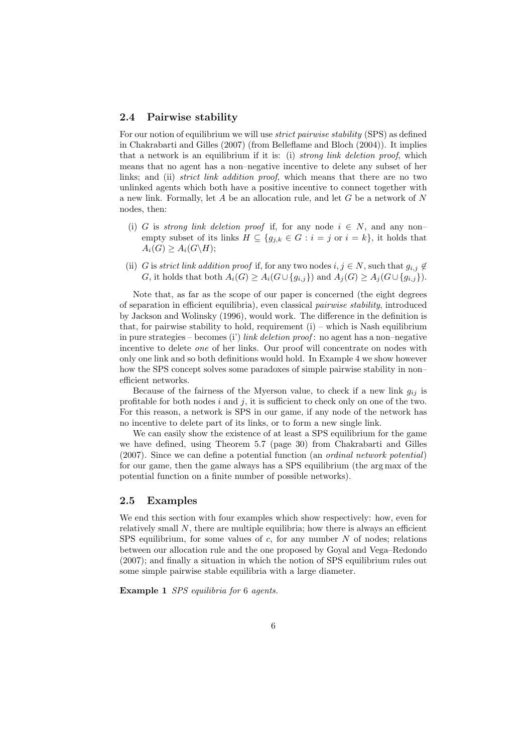#### 2.4 Pairwise stability

For our notion of equilibrium we will use strict pairwise stability (SPS) as defined in Chakrabarti and Gilles (2007) (from Belleflame and Bloch (2004)). It implies that a network is an equilibrium if it is: (i) *strong link deletion proof*, which means that no agent has a non–negative incentive to delete any subset of her links; and (ii) *strict link addition proof*, which means that there are no two unlinked agents which both have a positive incentive to connect together with a new link. Formally, let  $A$  be an allocation rule, and let  $G$  be a network of  $N$ nodes, then:

- (i) G is strong link deletion proof if, for any node  $i \in N$ , and any nonempty subset of its links  $H \subseteq \{g_{j,k} \in G : i = j \text{ or } i = k\}$ , it holds that  $A_i(G) \geq A_i(G\backslash H);$
- (ii) G is strict link addition proof if, for any two nodes  $i, j \in N$ , such that  $g_{i,j} \notin$ G, it holds that both  $A_i(G) \geq A_i(G \cup \{g_{i,j}\})$  and  $A_j(G) \geq A_j(G \cup \{g_{i,j}\}).$

Note that, as far as the scope of our paper is concerned (the eight degrees of separation in efficient equilibria), even classical pairwise stability, introduced by Jackson and Wolinsky (1996), would work. The difference in the definition is that, for pairwise stability to hold, requirement  $(i)$  – which is Nash equilibrium in pure strategies – becomes (i') link deletion proof: no agent has a non–negative incentive to delete one of her links. Our proof will concentrate on nodes with only one link and so both definitions would hold. In Example 4 we show however how the SPS concept solves some paradoxes of simple pairwise stability in nonefficient networks.

Because of the fairness of the Myerson value, to check if a new link  $q_{ij}$  is profitable for both nodes  $i$  and  $j$ , it is sufficient to check only on one of the two. For this reason, a network is SPS in our game, if any node of the network has no incentive to delete part of its links, or to form a new single link.

We can easily show the existence of at least a SPS equilibrium for the game we have defined, using Theorem 5.7 (page 30) from Chakrabarti and Gilles (2007). Since we can define a potential function (an ordinal network potential) for our game, then the game always has a SPS equilibrium (the arg max of the potential function on a finite number of possible networks).

#### 2.5 Examples

We end this section with four examples which show respectively: how, even for relatively small  $N$ , there are multiple equilibria; how there is always an efficient SPS equilibrium, for some values of  $c$ , for any number  $N$  of nodes; relations between our allocation rule and the one proposed by Goyal and Vega–Redondo (2007); and finally a situation in which the notion of SPS equilibrium rules out some simple pairwise stable equilibria with a large diameter.

Example 1 SPS equilibria for 6 agents.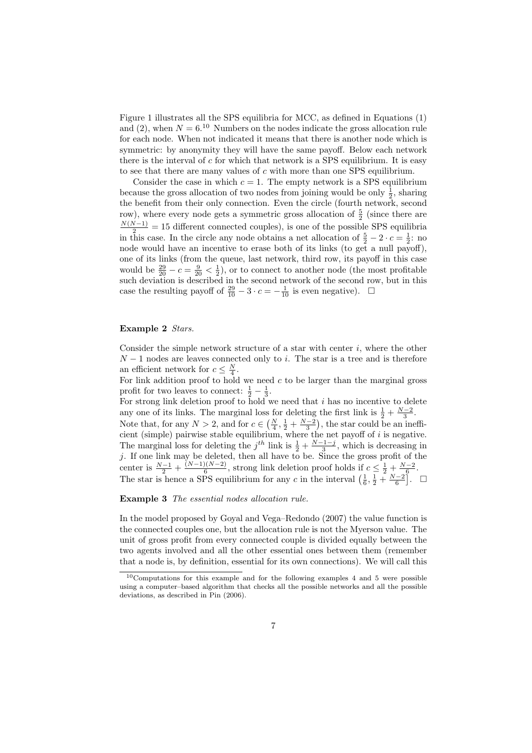Figure 1 illustrates all the SPS equilibria for MCC, as defined in Equations (1) and (2), when  $N = 6^{10}$  Numbers on the nodes indicate the gross allocation rule for each node. When not indicated it means that there is another node which is symmetric: by anonymity they will have the same payoff. Below each network there is the interval of  $c$  for which that network is a SPS equilibrium. It is easy to see that there are many values of  $c$  with more than one SPS equilibrium.

Consider the case in which  $c = 1$ . The empty network is a SPS equilibrium because the gross allocation of two nodes from joining would be only  $\frac{1}{2}$ , sharing the benefit from their only connection. Even the circle (fourth network, second row), where every node gets a symmetric gross allocation of  $\frac{5}{2}$  (since there are  $\frac{N(N-1)}{2}$  = 15 different connected couples), is one of the possible SPS equilibria in this case. In the circle any node obtains a net allocation of  $\frac{5}{2} - 2 \cdot c = \frac{1}{2}$ : no node would have an incentive to erase both of its links (to get a null payoff), one of its links (from the queue, last network, third row, its payoff in this case would be  $\frac{29}{20} - c = \frac{9}{20} < \frac{1}{2}$ , or to connect to another node (the most profitable such deviation is described in the second network of the second row, but in this case the resulting payoff of  $\frac{29}{10} - 3 \cdot c = -\frac{1}{10}$  is even negative).  $\Box$ 

#### Example 2 Stars.

Consider the simple network structure of a star with center  $i$ , where the other  $N-1$  nodes are leaves connected only to i. The star is a tree and is therefore an efficient network for  $c \leq \frac{N}{4}$ .

For link addition proof to hold we need  $c$  to be larger than the marginal gross profit for two leaves to connect:  $\frac{1}{2} - \frac{1}{3}$ .

For strong link deletion proof to hold we need that  $i$  has no incentive to delete any one of its links. The marginal loss for deleting the first link is  $\frac{1}{2} + \frac{N-2}{3}$ . any one of its miks. The marginal loss for defecting the first fink is  $\frac{1}{2} + \frac{3}{3}$ <br>Note that, for any  $N > 2$ , and for  $c \in (\frac{N}{4}, \frac{1}{2} + \frac{N-2}{3})$ , the star could be an i ¢ , the star could be an inefficient (simple) pairwise stable equilibrium, where the net payoff of  $i$  is negative. The marginal loss for deleting the  $j^{th}$  link is  $\frac{1}{2} + \frac{N-1-j}{3}$ , which is decreasing in j. If one link may be deleted, then all have to be. Since the gross profit of the center is  $\frac{N-1}{2} + \frac{(N-1)(N-2)}{6}$ center is  $\frac{N-1}{2} + \frac{(N-1)(N-2)}{6}$ , strong link deletion proof holds if  $c \leq \frac{1}{2} + \frac{N-2}{6}$ .<br>The star is hence a SPS equilibrium for any c in the interval  $\left(\frac{1}{6}, \frac{1}{2} + \frac{N-2}{6}\right]$ .  $\overline{6}$ . ¤

Example 3 The essential nodes allocation rule.

In the model proposed by Goyal and Vega–Redondo (2007) the value function is the connected couples one, but the allocation rule is not the Myerson value. The unit of gross profit from every connected couple is divided equally between the two agents involved and all the other essential ones between them (remember that a node is, by definition, essential for its own connections). We will call this

 $10$ Computations for this example and for the following examples 4 and 5 were possible using a computer–based algorithm that checks all the possible networks and all the possible deviations, as described in Pin (2006).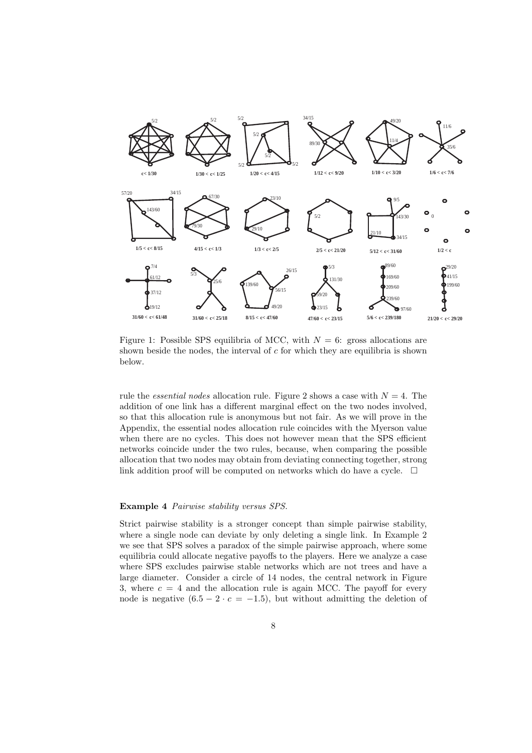

Figure 1: Possible SPS equilibria of MCC, with  $N = 6$ : gross allocations are shown beside the nodes, the interval of  $c$  for which they are equilibria is shown below.

rule the *essential nodes* allocation rule. Figure 2 shows a case with  $N = 4$ . The addition of one link has a different marginal effect on the two nodes involved, so that this allocation rule is anonymous but not fair. As we will prove in the Appendix, the essential nodes allocation rule coincides with the Myerson value when there are no cycles. This does not however mean that the SPS efficient networks coincide under the two rules, because, when comparing the possible allocation that two nodes may obtain from deviating connecting together, strong link addition proof will be computed on networks which do have a cycle.  $\Box$ 

#### Example 4 Pairwise stability versus SPS.

Strict pairwise stability is a stronger concept than simple pairwise stability, where a single node can deviate by only deleting a single link. In Example 2 we see that SPS solves a paradox of the simple pairwise approach, where some equilibria could allocate negative payoffs to the players. Here we analyze a case where SPS excludes pairwise stable networks which are not trees and have a large diameter. Consider a circle of 14 nodes, the central network in Figure 3, where  $c = 4$  and the allocation rule is again MCC. The payoff for every node is negative  $(6.5 - 2 \cdot c = -1.5)$ , but without admitting the deletion of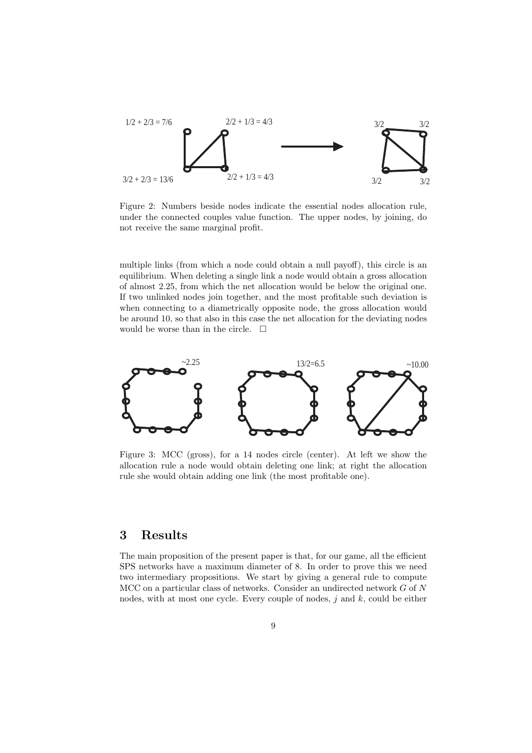

Figure 2: Numbers beside nodes indicate the essential nodes allocation rule, under the connected couples value function. The upper nodes, by joining, do not receive the same marginal profit.

multiple links (from which a node could obtain a null payoff), this circle is an equilibrium. When deleting a single link a node would obtain a gross allocation of almost 2.25, from which the net allocation would be below the original one. If two unlinked nodes join together, and the most profitable such deviation is when connecting to a diametrically opposite node, the gross allocation would be around 10, so that also in this case the net allocation for the deviating nodes would be worse than in the circle.  $\Box$ 



Figure 3: MCC (gross), for a 14 nodes circle (center). At left we show the allocation rule a node would obtain deleting one link; at right the allocation rule she would obtain adding one link (the most profitable one).

## 3 Results

The main proposition of the present paper is that, for our game, all the efficient SPS networks have a maximum diameter of 8. In order to prove this we need two intermediary propositions. We start by giving a general rule to compute MCC on a particular class of networks. Consider an undirected network  $G$  of  $N$ nodes, with at most one cycle. Every couple of nodes,  $j$  and  $k$ , could be either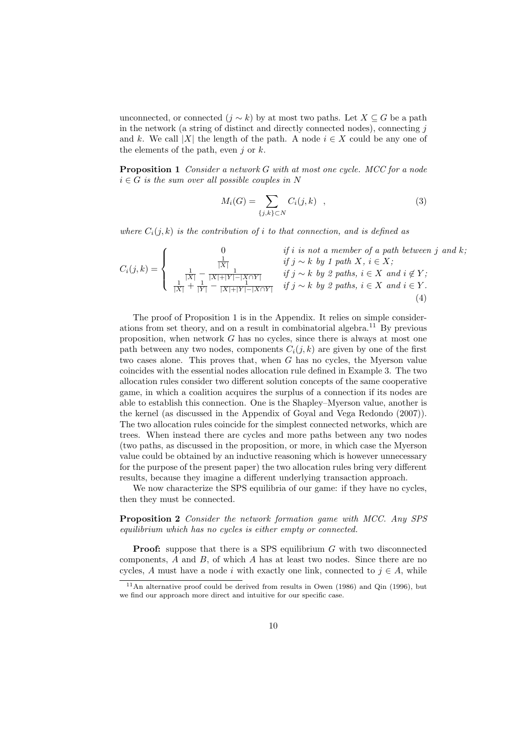unconnected, or connected  $(j \sim k)$  by at most two paths. Let  $X \subseteq G$  be a path in the network (a string of distinct and directly connected nodes), connecting  $j$ and k. We call |X| the length of the path. A node  $i \in X$  could be any one of the elements of the path, even j or  $k$ .

Proposition 1 Consider a network G with at most one cycle. MCC for a node  $i \in G$  is the sum over all possible couples in N

$$
M_i(G) = \sum_{\{j,k\} \subset N} C_i(j,k) \quad , \tag{3}
$$

where  $C_i(j,k)$  is the contribution of i to that connection, and is defined as

$$
C_i(j,k) = \begin{cases} 0 & \text{if } i \text{ is not a member of a path between } j \text{ and } k; \\ \frac{1}{|X|} & \text{if } j \sim k \text{ by } 1 \text{ path } X, i \in X; \\ \frac{1}{|X|} - \frac{1}{|X| + |Y| - |X \cap Y|} & \text{if } j \sim k \text{ by } 2 \text{ paths, } i \in X \text{ and } i \notin Y; \\ \frac{1}{|X|} + \frac{1}{|Y|} - \frac{1}{|X| + |Y| - |X \cap Y|} & \text{if } j \sim k \text{ by } 2 \text{ paths, } i \in X \text{ and } i \in Y. \end{cases} (4)
$$

The proof of Proposition 1 is in the Appendix. It relies on simple considerations from set theory, and on a result in combinatorial algebra.<sup>11</sup> By previous proposition, when network G has no cycles, since there is always at most one path between any two nodes, components  $C_i(j, k)$  are given by one of the first two cases alone. This proves that, when G has no cycles, the Myerson value coincides with the essential nodes allocation rule defined in Example 3. The two allocation rules consider two different solution concepts of the same cooperative game, in which a coalition acquires the surplus of a connection if its nodes are able to establish this connection. One is the Shapley–Myerson value, another is the kernel (as discussed in the Appendix of Goyal and Vega Redondo (2007)). The two allocation rules coincide for the simplest connected networks, which are trees. When instead there are cycles and more paths between any two nodes (two paths, as discussed in the proposition, or more, in which case the Myerson value could be obtained by an inductive reasoning which is however unnecessary for the purpose of the present paper) the two allocation rules bring very different results, because they imagine a different underlying transaction approach.

We now characterize the SPS equilibria of our game: if they have no cycles, then they must be connected.

Proposition 2 Consider the network formation game with MCC. Any SPS equilibrium which has no cycles is either empty or connected.

**Proof:** suppose that there is a SPS equilibrium G with two disconnected components,  $A$  and  $B$ , of which  $A$  has at least two nodes. Since there are no cycles, A must have a node i with exactly one link, connected to  $j \in A$ , while

 $11$ An alternative proof could be derived from results in Owen (1986) and Qin (1996), but we find our approach more direct and intuitive for our specific case.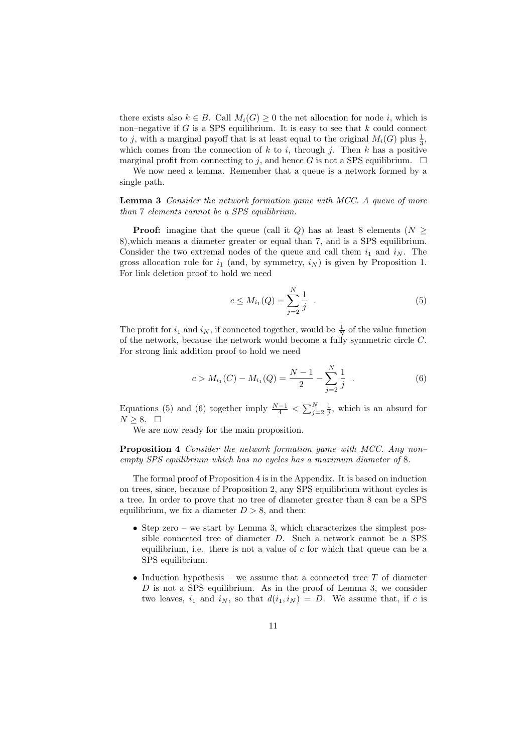there exists also  $k \in B$ . Call  $M_i(G) \geq 0$  the net allocation for node i, which is non–negative if  $G$  is a SPS equilibrium. It is easy to see that  $k$  could connect to j, with a marginal payoff that is at least equal to the original  $M_i(G)$  plus  $\frac{1}{3}$ , which comes from the connection of  $k$  to  $i$ , through  $j$ . Then  $k$  has a positive marginal profit from connecting to j, and hence G is not a SPS equilibrium.  $\Box$ 

We now need a lemma. Remember that a queue is a network formed by a single path.

**Lemma 3** Consider the network formation game with MCC. A queue of more than 7 elements cannot be a SPS equilibrium.

**Proof:** imagine that the queue (call it Q) has at least 8 elements ( $N \geq$ 8),which means a diameter greater or equal than 7, and is a SPS equilibrium. Consider the two extremal nodes of the queue and call them  $i_1$  and  $i_N$ . The gross allocation rule for  $i_1$  (and, by symmetry,  $i_N$ ) is given by Proposition 1. For link deletion proof to hold we need

$$
c \le M_{i_1}(Q) = \sum_{j=2}^{N} \frac{1}{j} . \tag{5}
$$

The profit for  $i_1$  and  $i_N$ , if connected together, would be  $\frac{1}{N}$  of the value function of the network, because the network would become a fully symmetric circle C. For strong link addition proof to hold we need

$$
c > M_{i_1}(C) - M_{i_1}(Q) = \frac{N-1}{2} - \sum_{j=2}^{N} \frac{1}{j} . \tag{6}
$$

Equations (5) and (6) together imply  $\frac{N-1}{4} < \sum_{j=2}^{N} \frac{1}{j}$ , which is an absurd for  $N ≥ 8. □$ 

We are now ready for the main proposition.

Proposition 4 Consider the network formation game with MCC. Any non– empty SPS equilibrium which has no cycles has a maximum diameter of 8.

The formal proof of Proposition 4 is in the Appendix. It is based on induction on trees, since, because of Proposition 2, any SPS equilibrium without cycles is a tree. In order to prove that no tree of diameter greater than 8 can be a SPS equilibrium, we fix a diameter  $D > 8$ , and then:

- Step zero we start by Lemma 3, which characterizes the simplest possible connected tree of diameter D. Such a network cannot be a SPS equilibrium, i.e. there is not a value of  $c$  for which that queue can be a SPS equilibrium.
- Induction hypothesis we assume that a connected tree  $T$  of diameter D is not a SPS equilibrium. As in the proof of Lemma 3, we consider two leaves,  $i_1$  and  $i_N$ , so that  $d(i_1, i_N) = D$ . We assume that, if c is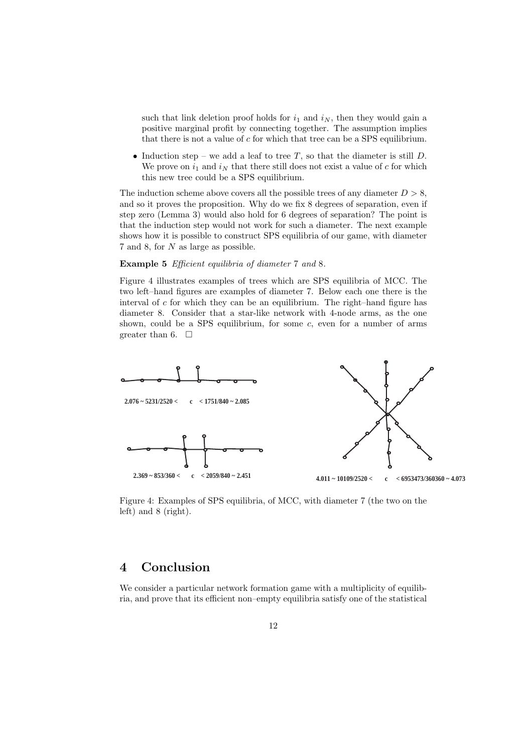such that link deletion proof holds for  $i_1$  and  $i_N$ , then they would gain a positive marginal profit by connecting together. The assumption implies that there is not a value of  $c$  for which that tree can be a SPS equilibrium.

• Induction step – we add a leaf to tree  $T$ , so that the diameter is still  $D$ . We prove on  $i_1$  and  $i_N$  that there still does not exist a value of c for which this new tree could be a SPS equilibrium.

The induction scheme above covers all the possible trees of any diameter  $D > 8$ , and so it proves the proposition. Why do we fix 8 degrees of separation, even if step zero (Lemma 3) would also hold for 6 degrees of separation? The point is that the induction step would not work for such a diameter. The next example shows how it is possible to construct SPS equilibria of our game, with diameter 7 and 8, for N as large as possible.

#### Example 5 Efficient equilibria of diameter 7 and 8.

Figure 4 illustrates examples of trees which are SPS equilibria of MCC. The two left–hand figures are examples of diameter 7. Below each one there is the interval of  $c$  for which they can be an equilibrium. The right–hand figure has diameter 8. Consider that a star-like network with 4-node arms, as the one shown, could be a SPS equilibrium, for some  $c$ , even for a number of arms greater than 6.  $\Box$ 



Figure 4: Examples of SPS equilibria, of MCC, with diameter 7 (the two on the left) and 8 (right).

## 4 Conclusion

We consider a particular network formation game with a multiplicity of equilibria, and prove that its efficient non–empty equilibria satisfy one of the statistical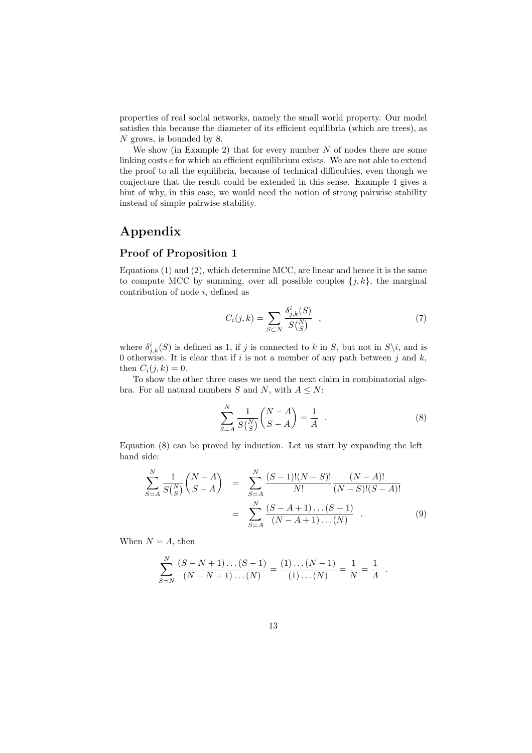properties of real social networks, namely the small world property. Our model satisfies this because the diameter of its efficient equilibria (which are trees), as N grows, is bounded by 8.

We show (in Example 2) that for every number  $N$  of nodes there are some linking costs  $c$  for which an efficient equilibrium exists. We are not able to extend the proof to all the equilibria, because of technical difficulties, even though we conjecture that the result could be extended in this sense. Example 4 gives a hint of why, in this case, we would need the notion of strong pairwise stability instead of simple pairwise stability.

## Appendix

#### Proof of Proposition 1

Equations (1) and (2), which determine MCC, are linear and hence it is the same to compute MCC by summing, over all possible couples  $\{j, k\}$ , the marginal contribution of node  $i$ , defined as

$$
C_i(j,k) = \sum_{S \subset N} \frac{\delta_{j,k}^i(S)}{S\binom{N}{S}} \quad , \tag{7}
$$

where  $\delta^i_{j,k}(S)$  is defined as 1, if j is connected to k in S, but not in  $S\backslash i$ , and is 0 otherwise. It is clear that if i is not a member of any path between j and  $k$ , then  $C_i(i, k) = 0$ .

To show the other three cases we need the next claim in combinatorial algebra. For all natural numbers S and N, with  $A \leq N$ :

$$
\sum_{S=A}^{N} \frac{1}{S\binom{N}{S}} \binom{N-A}{S-A} = \frac{1}{A} . \tag{8}
$$

.

Equation (8) can be proved by induction. Let us start by expanding the left– hand side:

$$
\sum_{S=A}^{N} \frac{1}{S\binom{N}{S}} \binom{N-A}{S-A} = \sum_{S=A}^{N} \frac{(S-1)!(N-S)!}{N!} \frac{(N-A)!}{(N-S)!(S-A)!}
$$

$$
= \sum_{S=A}^{N} \frac{(S-A+1)\dots(S-1)}{(N-A+1)\dots(N)} . \tag{9}
$$

When  $N = A$ , then

**Now the Community of the Community of the Community of the Community** 

$$
\sum_{S=N}^{N} \frac{(S-N+1)\dots(S-1)}{(N-N+1)\dots(N)} = \frac{(1)\dots(N-1)}{(1)\dots(N)} = \frac{1}{N} = \frac{1}{A}
$$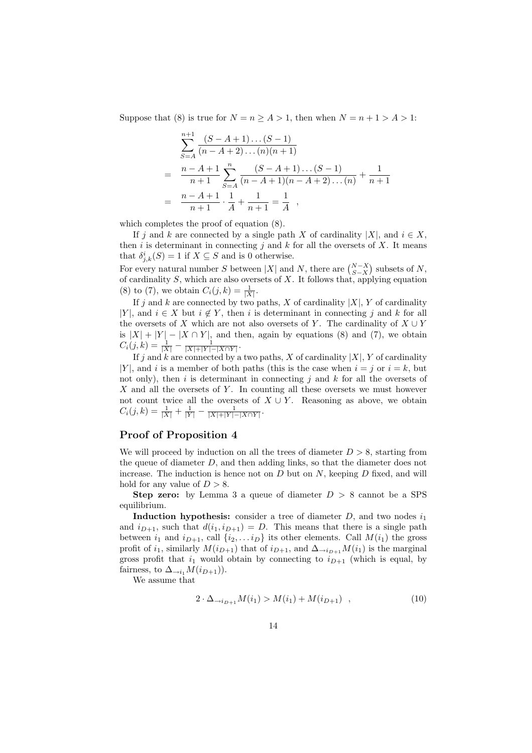Suppose that (8) is true for  $N = n \ge A > 1$ , then when  $N = n + 1 > A > 1$ :

$$
\sum_{S=A}^{n+1} \frac{(S-A+1)\dots(S-1)}{(n-A+2)\dots(n)(n+1)}
$$
\n
$$
= \frac{n-A+1}{n+1} \sum_{S=A}^{n} \frac{(S-A+1)\dots(S-1)}{(n-A+1)(n-A+2)\dots(n)} + \frac{1}{n+1}
$$
\n
$$
= \frac{n-A+1}{n+1} \cdot \frac{1}{A} + \frac{1}{n+1} = \frac{1}{A} ,
$$

which completes the proof of equation  $(8)$ .

If j and k are connected by a single path X of cardinality |X|, and  $i \in X$ , then i is determinant in connecting j and k for all the oversets of X. It means that  $\delta^i_{j,k}(S) = 1$  if  $X \subseteq S$  and is 0 otherwise. ¢

For every natural number S between |X| and N, there are  $\binom{N-X}{S-X}$ subsets of  $N$ , of cardinality S, which are also oversets of X. It follows that, applying equation (8) to (7), we obtain  $C_i(j,k) = \frac{1}{|X|}$ .

If j and k are connected by two paths, X of cardinality  $|X|$ , Y of cardinality |Y|, and  $i \in X$  but  $i \notin Y$ , then i is determinant in connecting j and k for all the oversets of X which are not also oversets of Y. The cardinality of  $X \cup Y$ is  $|X| + |Y| - |X \cap Y|$ , and then, again by equations (8) and (7), we obtain  $C_i(j,k) = \frac{1}{|X|} - \frac{1}{|X|+|Y|-|X\cap Y|}.$ 

If j and k are connected by a two paths, X of cardinality  $|X|$ , Y of cardinality |Y|, and i is a member of both paths (this is the case when  $i = j$  or  $i = k$ , but not only), then i is determinant in connecting i and k for all the oversets of X and all the oversets of Y. In counting all these oversets we must however not count twice all the oversets of  $X \cup Y$ . Reasoning as above, we obtain  $C_i(j,k) = \frac{1}{|X|} + \frac{1}{|Y|} - \frac{1}{|X|+|Y|-|X\cap Y|}.$ 

#### Proof of Proposition 4

We will proceed by induction on all the trees of diameter  $D > 8$ , starting from the queue of diameter D, and then adding links, so that the diameter does not increase. The induction is hence not on  $D$  but on  $N$ , keeping  $D$  fixed, and will hold for any value of  $D > 8$ .

**Step zero:** by Lemma 3 a queue of diameter  $D > 8$  cannot be a SPS equilibrium.

**Induction hypothesis:** consider a tree of diameter  $D$ , and two nodes  $i_1$ and  $i_{D+1}$ , such that  $d(i_1, i_{D+1}) = D$ . This means that there is a single path between  $i_1$  and  $i_{D+1}$ , call  $\{i_2, \ldots i_D\}$  its other elements. Call  $M(i_1)$  the gross profit of  $i_1$ , similarly  $M(i_{D+1})$  that of  $i_{D+1}$ , and  $\Delta_{\rightarrow i_{D+1}}M(i_1)$  is the marginal gross profit that  $i_1$  would obtain by connecting to  $i_{D+1}$  (which is equal, by fairness, to  $\Delta_{\rightarrow i_1} M(i_{D+1})$ .

We assume that

$$
2 \cdot \Delta_{\to i_{D+1}} M(i_1) > M(i_1) + M(i_{D+1}) \quad , \tag{10}
$$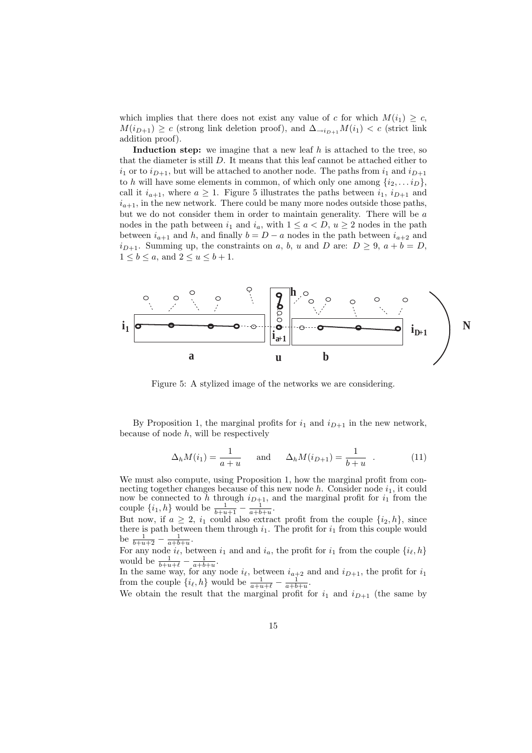which implies that there does not exist any value of c for which  $M(i_1) \geq c$ ,  $M(i_{D+1}) \geq c$  (strong link deletion proof), and  $\Delta_{\rightarrow i_{D+1}} M(i_1) < c$  (strict link addition proof).

Induction step: we imagine that a new leaf  $h$  is attached to the tree, so that the diameter is still D. It means that this leaf cannot be attached either to  $i_1$  or to  $i_{D+1}$ , but will be attached to another node. The paths from  $i_1$  and  $i_{D+1}$ to h will have some elements in common, of which only one among  $\{i_2, \ldots i_D\}$ , call it  $i_{a+1}$ , where  $a \geq 1$ . Figure 5 illustrates the paths between  $i_1$ ,  $i_{D+1}$  and  $i_{a+1}$ , in the new network. There could be many more nodes outside those paths, but we do not consider them in order to maintain generality. There will be a nodes in the path between  $i_1$  and  $i_a$ , with  $1 \le a \le D$ ,  $u \ge 2$  nodes in the path between  $i_{a+1}$  and h, and finally  $b = D - a$  nodes in the path between  $i_{a+2}$  and  $i_{D+1}$ . Summing up, the constraints on a, b, u and D are:  $D \ge 9$ ,  $a + b = D$ ,  $1 \leq b \leq a$ , and  $2 \leq u \leq b+1$ .



Figure 5: A stylized image of the networks we are considering.

By Proposition 1, the marginal profits for  $i_1$  and  $i_{D+1}$  in the new network, because of node  $h$ , will be respectively

$$
\Delta_h M(i_1) = \frac{1}{a+u}
$$
 and  $\Delta_h M(i_{D+1}) = \frac{1}{b+u}$  (11)

We must also compute, using Proposition 1, how the marginal profit from connecting together changes because of this new node  $h$ . Consider node  $i_1$ , it could now be connected to h through  $i_{D+1}$ , and the marginal profit for  $i_1$  from the couple  $\{i_1, h\}$  would be  $\frac{1}{b+u+1} - \frac{1}{a+b+u}$ .

But now, if  $a \geq 2$ ,  $i_1$  could also extract profit from the couple  $\{i_2, h\}$ , since there is path between them through  $i_1$ . The profit for  $i_1$  from this couple would be  $\frac{1}{b+u+2} - \frac{1}{a+b+u}$ .

For any node  $i_{\ell}$ , between  $i_1$  and and  $i_a$ , the profit for  $i_1$  from the couple  $\{i_{\ell}, h\}$ would be  $\frac{1}{b+u+\ell} - \frac{1}{a+b+u}$ .

In the same way, for any node  $i_{\ell}$ , between  $i_{a+2}$  and and  $i_{D+1}$ , the profit for  $i_1$ from the couple  $\{i_\ell, h\}$  would be  $\frac{1}{a+u+\ell} - \frac{1}{a+b+u}$ .

We obtain the result that the marginal profit for  $i_1$  and  $i_{D+1}$  (the same by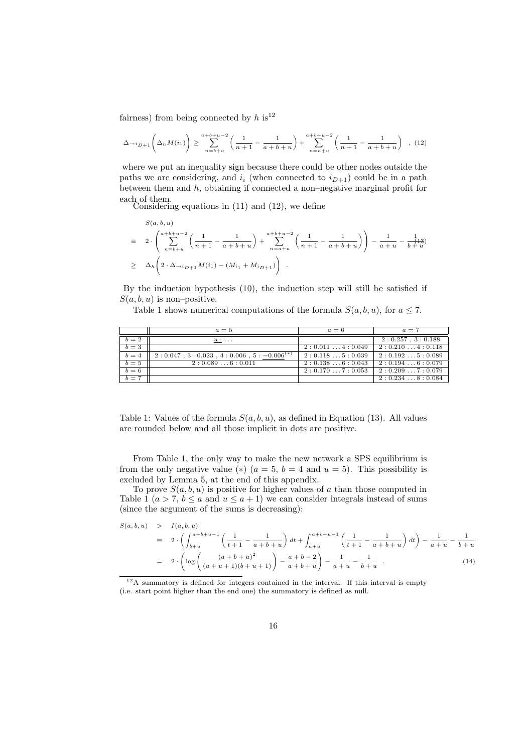fairness) from being connected by  $h$  is<sup>12</sup>

$$
\Delta_{\rightarrow i_{D+1}}\left(\Delta_h M(i_1)\right) \ge \sum_{n=b+u}^{a+b+u-2} \left(\frac{1}{n+1} - \frac{1}{a+b+u}\right) + \sum_{n=a+u}^{a+b+u-2} \left(\frac{1}{n+1} - \frac{1}{a+b+u}\right) , (12)
$$

where we put an inequality sign because there could be other nodes outside the paths we are considering, and  $i_i$  (when connected to  $i_{D+1}$ ) could be in a path between them and h, obtaining if connected a non–negative marginal profit for each of them.

Considering equations in (11) and (12), we define

$$
\begin{array}{rcl}\nS(a, b, u) \\
= & 2 \cdot \left( \sum_{n=b+u}^{a+b+u-2} \left( \frac{1}{n+1} - \frac{1}{a+b+u} \right) + \sum_{n=a+u}^{a+b+u-2} \left( \frac{1}{n+1} - \frac{1}{a+b+u} \right) \right) - \frac{1}{a+u} - \frac{1}{b+u} \\
\ge & \Delta_h \left( 2 \cdot \Delta_{\rightarrow i_{D+1}} M(i_1) - (M_{i_1} + M_{i_{D+1}}) \right)\n\end{array}
$$

By the induction hypothesis (10), the induction step will still be satisfied if  $S(a, b, u)$  is non-positive.

Table 1 shows numerical computations of the formula  $S(a, b, u)$ , for  $a \leq 7$ .

|       | $a=5$                                                    | $a=6$            | $a=7$                 |
|-------|----------------------------------------------------------|------------------|-----------------------|
| $b=2$ | $u: \ldots$                                              |                  | $2:0.257$ , $3:0.188$ |
| $b=3$ |                                                          | 2: 0.0114: 0.049 | 2:0.2104:0.118        |
| $b=4$ | $2: 0.047$ , $3: 0.023$ , $4: 0.006$ , $5: -0.006^{(*)}$ | 2: 0.1185: 0.039 | 2: 0.1925: 0.089      |
| $b=5$ | 2:0.0896:0.011                                           | 2: 0.1386: 0.043 | 2:0.1946:0.079        |
| $b=6$ |                                                          | 2: 0.1707: 0.053 | 2: 0.2097: 0.079      |
| $b=7$ |                                                          |                  | 2: 0.2348: 0.084      |

Table 1: Values of the formula  $S(a, b, u)$ , as defined in Equation (13). All values are rounded below and all those implicit in dots are positive.

From Table 1, the only way to make the new network a SPS equilibrium is from the only negative value (\*)  $(a = 5, b = 4 \text{ and } u = 5)$ . This possibility is excluded by Lemma 5, at the end of this appendix.

To prove  $S(a, b, u)$  is positive for higher values of a than those computed in Table 1 ( $a > 7$ ,  $b \le a$  and  $u \le a + 1$ ) we can consider integrals instead of sums (since the argument of the sums is decreasing):

$$
S(a, b, u) > I(a, b, u)
$$
  
\n
$$
\equiv 2 \cdot \left( \int_{b+u}^{a+b+u-1} \left( \frac{1}{t+1} - \frac{1}{a+b+u} \right) dt + \int_{a+u}^{a+b+u-1} \left( \frac{1}{t+1} - \frac{1}{a+b+u} \right) dt \right) - \frac{1}{a+u} - \frac{1}{b+u}
$$
  
\n
$$
= 2 \cdot \left( \log \left( \frac{(a+b+u)^2}{(a+u+1)(b+u+1)} \right) - \frac{a+b-2}{a+b+u} \right) - \frac{1}{a+u} - \frac{1}{b+u} . \tag{14}
$$

<sup>12</sup>A summatory is defined for integers contained in the interval. If this interval is empty (i.e. start point higher than the end one) the summatory is defined as null.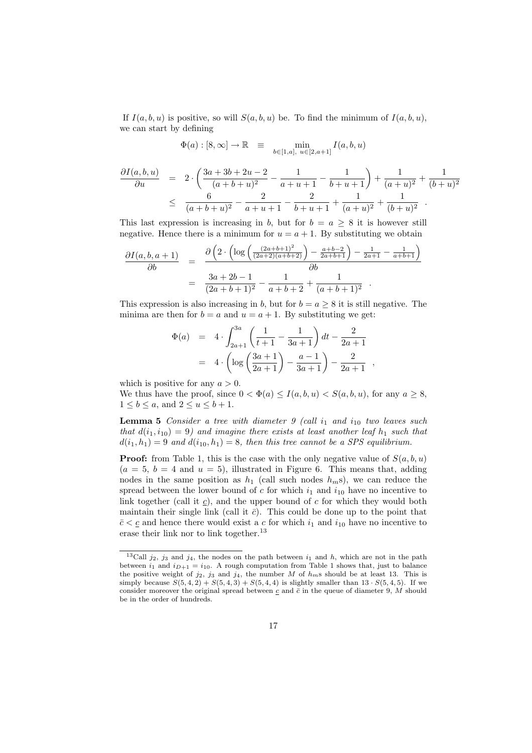If  $I(a, b, u)$  is positive, so will  $S(a, b, u)$  be. To find the minimum of  $I(a, b, u)$ , we can start by defining

$$
\Phi(a) : [8, \infty] \to \mathbb{R} \equiv \min_{b \in [1, a], \ u \in [2, a+1]} I(a, b, u)
$$

$$
\frac{\partial I(a,b,u)}{\partial u} = 2 \cdot \left( \frac{3a+3b+2u-2}{(a+b+u)^2} - \frac{1}{a+u+1} - \frac{1}{b+u+1} \right) + \frac{1}{(a+u)^2} + \frac{1}{(b+u)^2}
$$
  
\n
$$
\leq \frac{6}{(a+b+u)^2} - \frac{2}{a+u+1} - \frac{2}{b+u+1} + \frac{1}{(a+u)^2} + \frac{1}{(b+u)^2} .
$$

This last expression is increasing in b, but for  $b = a \geq 8$  it is however still negative. Hence there is a minimum for  $u = a + 1$ . By substituting we obtain

$$
\frac{\partial I(a,b,a+1)}{\partial b} = \frac{\partial \left(2 \cdot \left(\log \left(\frac{(2a+b+1)^2}{(2a+2)(a+b+2)}\right) - \frac{a+b-2}{2a+b+1}\right) - \frac{1}{2a+1} - \frac{1}{a+b+1}\right)}{\partial b}
$$

$$
= \frac{3a+2b-1}{(2a+b+1)^2} - \frac{1}{a+b+2} + \frac{1}{(a+b+1)^2} .
$$

This expression is also increasing in b, but for  $b = a \geq 8$  it is still negative. The minima are then for  $b = a$  and  $u = a + 1$ . By substituting we get:

$$
\Phi(a) = 4 \cdot \int_{2a+1}^{3a} \left( \frac{1}{t+1} - \frac{1}{3a+1} \right) dt - \frac{2}{2a+1}
$$
  
=  $4 \cdot \left( \log \left( \frac{3a+1}{2a+1} \right) - \frac{a-1}{3a+1} \right) - \frac{2}{2a+1}$ ,

which is positive for any  $a > 0$ .

We thus have the proof, since  $0 < \Phi(a) \leq I(a, b, u) < S(a, b, u)$ , for any  $a \geq 8$ ,  $1 \leq b \leq a$ , and  $2 \leq u \leq b+1$ .

**Lemma 5** Consider a tree with diameter  $9$  (call  $i_1$  and  $i_{10}$  two leaves such that  $d(i_1, i_{10}) = 9$ ) and imagine there exists at least another leaf  $h_1$  such that  $d(i_1, h_1) = 9$  and  $d(i_{10}, h_1) = 8$ , then this tree cannot be a SPS equilibrium.

**Proof:** from Table 1, this is the case with the only negative value of  $S(a, b, u)$  $(a = 5, b = 4 \text{ and } u = 5)$ , illustrated in Figure 6. This means that, adding nodes in the same position as  $h_1$  (call such nodes  $h_m$ s), we can reduce the spread between the lower bound of  $c$  for which  $i_1$  and  $i_{10}$  have no incentive to link together (call it c), and the upper bound of  $c$  for which they would both maintain their single link (call it  $\bar{c}$ ). This could be done up to the point that  $\bar{c} < \underline{c}$  and hence there would exist a c for which  $i_1$  and  $i_{10}$  have no incentive to erase their link nor to link together.<sup>13</sup>

<sup>&</sup>lt;sup>13</sup>Call  $j_2$ ,  $j_3$  and  $j_4$ , the nodes on the path between  $i_1$  and h, which are not in the path between  $i_1$  and  $i_{D+1} = i_{10}$ . A rough computation from Table 1 shows that, just to balance the positive weight of  $j_2$ ,  $j_3$  and  $j_4$ , the number M of  $h_m$ s should be at least 13. This is simply because  $S(5, 4, 2) + S(5, 4, 3) + S(5, 4, 4)$  is slightly smaller than  $13 \cdot S(5, 4, 5)$ . If we consider moreover the original spread between  $c$  and  $\bar{c}$  in the queue of diameter 9, M should be in the order of hundreds.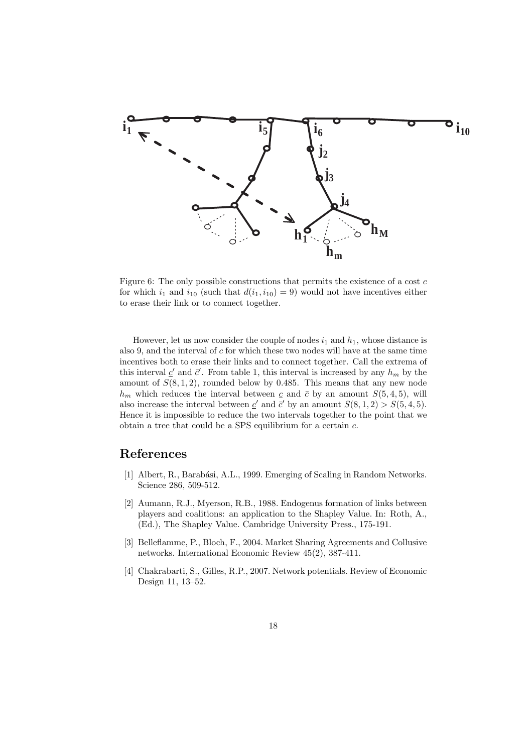

Figure 6: The only possible constructions that permits the existence of a cost  $c$ for which  $i_1$  and  $i_{10}$  (such that  $d(i_1, i_{10}) = 9$ ) would not have incentives either to erase their link or to connect together.

However, let us now consider the couple of nodes  $i_1$  and  $h_1$ , whose distance is also 9, and the interval of c for which these two nodes will have at the same time incentives both to erase their links and to connect together. Call the extrema of this interval  $\underline{c}'$  and  $\overline{c}'$ . From table 1, this interval is increased by any  $h_m$  by the amount of  $S(8,1,2)$ , rounded below by 0.485. This means that any new node  $h_m$  which reduces the interval between  $c$  and  $\bar{c}$  by an amount  $S(5, 4, 5)$ , will also increase the interval between  $\underline{c}'$  and  $\overline{c}'$  by an amount  $S(8, 1, 2) > S(5, 4, 5)$ . Hence it is impossible to reduce the two intervals together to the point that we obtain a tree that could be a SPS equilibrium for a certain c.

## References

- [1] Albert, R., Barabási, A.L., 1999. Emerging of Scaling in Random Networks. Science 286, 509-512.
- [2] Aumann, R.J., Myerson, R.B., 1988. Endogenus formation of links between players and coalitions: an application to the Shapley Value. In: Roth, A., (Ed.), The Shapley Value. Cambridge University Press., 175-191.
- [3] Belleflamme, P., Bloch, F., 2004. Market Sharing Agreements and Collusive networks. International Economic Review 45(2), 387-411.
- [4] Chakrabarti, S., Gilles, R.P., 2007. Network potentials. Review of Economic Design 11, 13–52.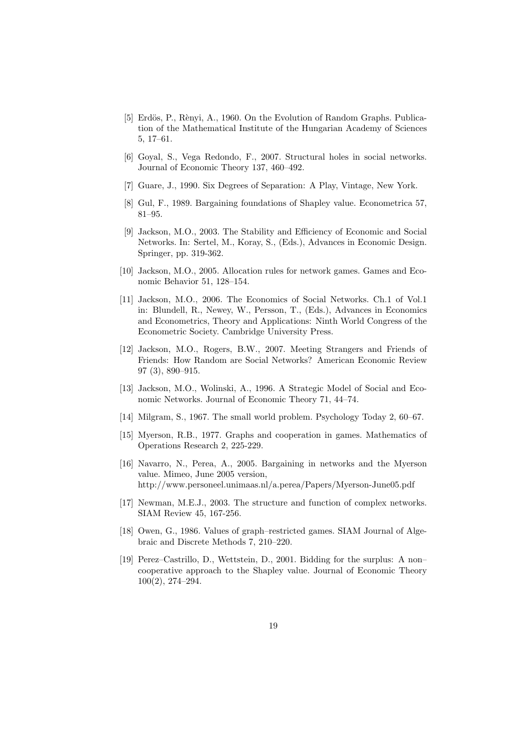- [5] Erdös, P., Rènyi, A., 1960. On the Evolution of Random Graphs. Publication of the Mathematical Institute of the Hungarian Academy of Sciences 5, 17–61.
- [6] Goyal, S., Vega Redondo, F., 2007. Structural holes in social networks. Journal of Economic Theory 137, 460–492.
- [7] Guare, J., 1990. Six Degrees of Separation: A Play, Vintage, New York.
- [8] Gul, F., 1989. Bargaining foundations of Shapley value. Econometrica 57, 81–95.
- [9] Jackson, M.O., 2003. The Stability and Efficiency of Economic and Social Networks. In: Sertel, M., Koray, S., (Eds.), Advances in Economic Design. Springer, pp. 319-362.
- [10] Jackson, M.O., 2005. Allocation rules for network games. Games and Economic Behavior 51, 128–154.
- [11] Jackson, M.O., 2006. The Economics of Social Networks. Ch.1 of Vol.1 in: Blundell, R., Newey, W., Persson, T., (Eds.), Advances in Economics and Econometrics, Theory and Applications: Ninth World Congress of the Econometric Society. Cambridge University Press.
- [12] Jackson, M.O., Rogers, B.W., 2007. Meeting Strangers and Friends of Friends: How Random are Social Networks? American Economic Review 97 (3), 890–915.
- [13] Jackson, M.O., Wolinski, A., 1996. A Strategic Model of Social and Economic Networks. Journal of Economic Theory 71, 44–74.
- [14] Milgram, S., 1967. The small world problem. Psychology Today 2, 60–67.
- [15] Myerson, R.B., 1977. Graphs and cooperation in games. Mathematics of Operations Research 2, 225-229.
- [16] Navarro, N., Perea, A., 2005. Bargaining in networks and the Myerson value. Mimeo, June 2005 version, http://www.personeel.unimaas.nl/a.perea/Papers/Myerson-June05.pdf
- [17] Newman, M.E.J., 2003. The structure and function of complex networks. SIAM Review 45, 167-256.
- [18] Owen, G., 1986. Values of graph–restricted games. SIAM Journal of Algebraic and Discrete Methods 7, 210–220.
- [19] Perez–Castrillo, D., Wettstein, D., 2001. Bidding for the surplus: A non– cooperative approach to the Shapley value. Journal of Economic Theory 100(2), 274–294.